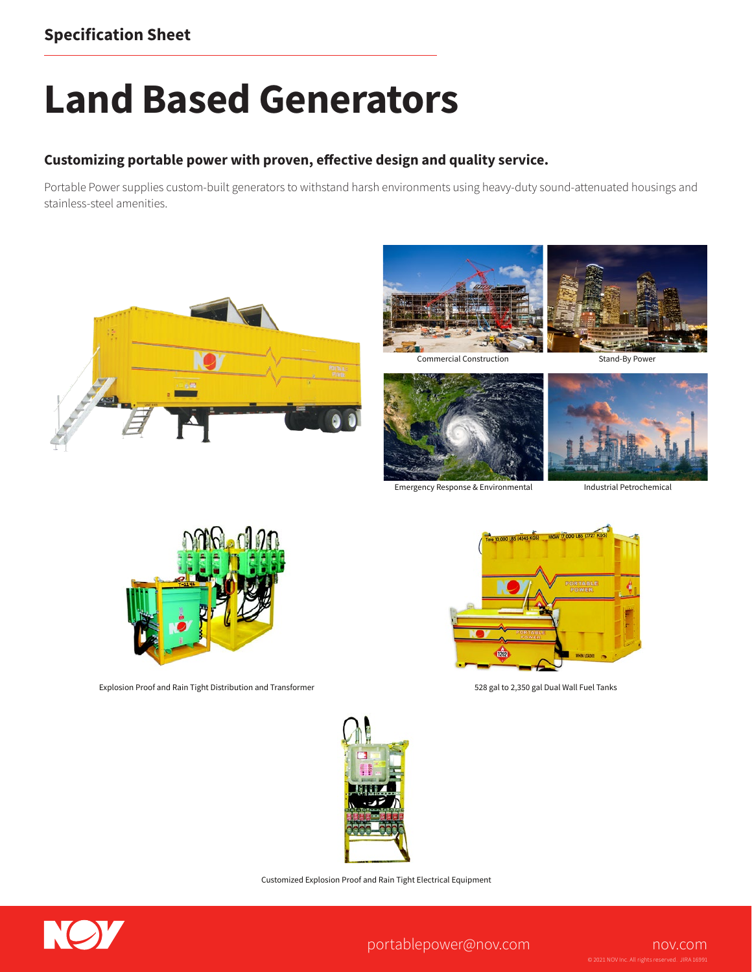## **Land Based Generators**

## **Customizing portable power with proven, effective design and quality service.**

Portable Power supplies custom-built generators to withstand harsh environments using heavy-duty sound-attenuated housings and stainless-steel amenities.









Emergency Response & Environmental

Industrial Petrochemical



Explosion Proof and Rain Tight Distribution and Transformer 528 gal to 2,350 gal Dual Wall Fuel Tanks





Customized Explosion Proof and Rain Tight Electrical Equipment